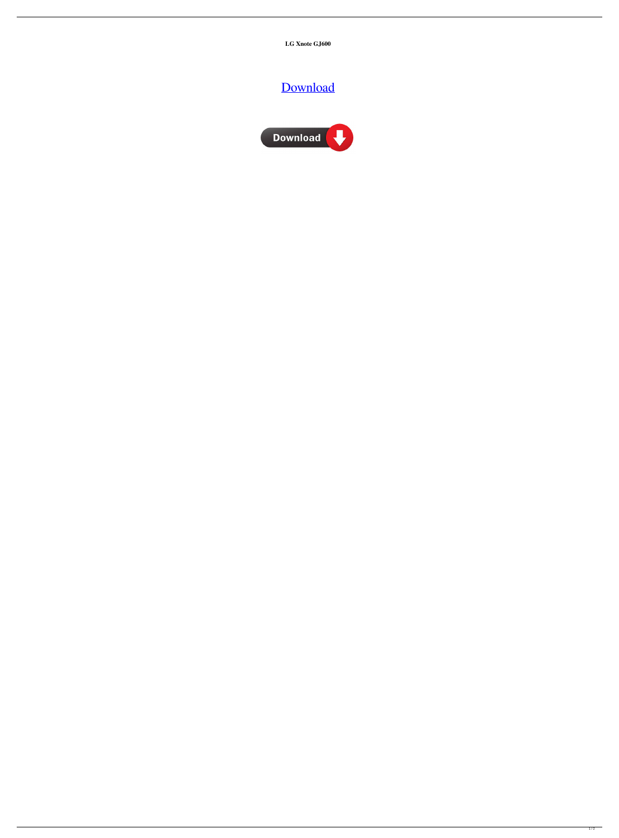**LG Xnote GJ600**

[Download](https://geags.com/2kyw4w)